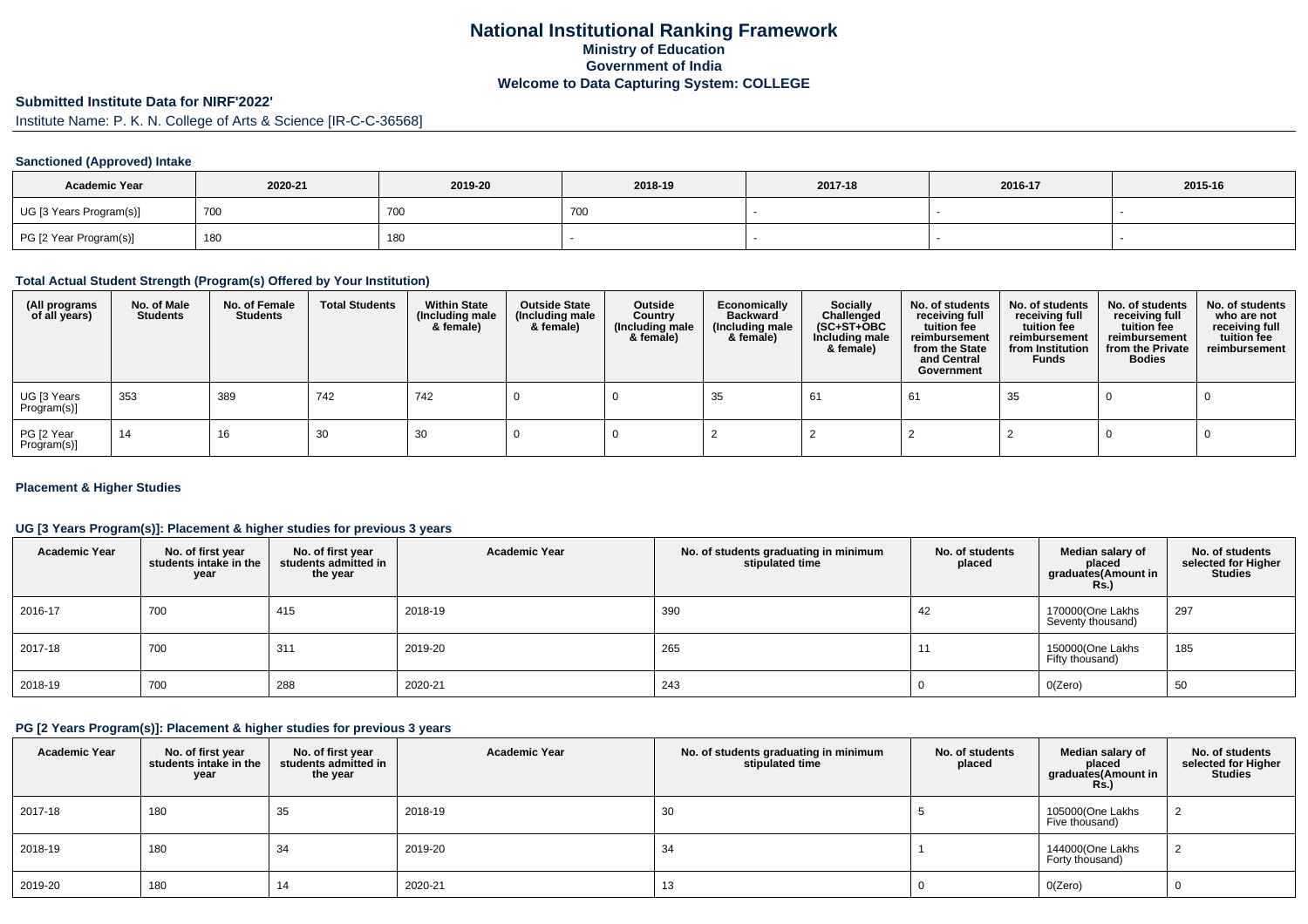## **National Institutional Ranking FrameworkMinistry of Education Government of IndiaWelcome to Data Capturing System: COLLEGE**

## **Submitted Institute Data for NIRF'2022'**

Institute Name: P. K. N. College of Arts & Science [IR-C-C-36568]

#### **Sanctioned (Approved) Intake**

| <b>Academic Year</b>    | 2020-21 | 2019-20 | 2018-19 | 2017-18 | 2016-17 | 2015-16 |
|-------------------------|---------|---------|---------|---------|---------|---------|
| UG [3 Years Program(s)] | 700     | 700     | 700     |         |         |         |
| PG [2 Year Program(s)]  | 180     | 180     |         |         |         |         |

#### **Total Actual Student Strength (Program(s) Offered by Your Institution)**

| (All programs<br>of all years) | No. of Male<br><b>Students</b> | No. of Female<br>Students | <b>Total Students</b> | <b>Within State</b><br>(Including male<br>& female) | <b>Outside State</b><br>(Including male<br>& female) | Outside<br>Country<br>(Including male<br>& female) | Economically<br><b>Backward</b><br>(Including male<br>& female) | <b>Socially</b><br>Challenged<br>$(SC+ST+OBC)$<br>Including male<br>& female) | No. of students<br>receiving full<br>tuition fee<br>reimbursement<br>from the State<br>and Central<br>Government | No. of students<br>receiving full<br>tuition fee<br>reimbursement<br>from Institution<br><b>Funds</b> | No. of students<br>receiving full<br>tuition fee<br>reimbursement<br>from the Private<br><b>Bodies</b> | No. of students<br>who are not<br>receiving full<br>tuition fee<br>reimbursement |
|--------------------------------|--------------------------------|---------------------------|-----------------------|-----------------------------------------------------|------------------------------------------------------|----------------------------------------------------|-----------------------------------------------------------------|-------------------------------------------------------------------------------|------------------------------------------------------------------------------------------------------------------|-------------------------------------------------------------------------------------------------------|--------------------------------------------------------------------------------------------------------|----------------------------------------------------------------------------------|
| UG [3 Years<br>Program(s)]     | 353                            | 389                       | 742                   | 742                                                 |                                                      |                                                    | 35                                                              | -61                                                                           | 61                                                                                                               | 35                                                                                                    |                                                                                                        |                                                                                  |
| PG [2 Year<br>Program(s)]      | 14                             | 16                        | 30                    | 30                                                  |                                                      |                                                    |                                                                 |                                                                               |                                                                                                                  |                                                                                                       |                                                                                                        |                                                                                  |

#### **Placement & Higher Studies**

#### **UG [3 Years Program(s)]: Placement & higher studies for previous 3 years**

| <b>Academic Year</b> | No. of first year<br>students intake in the<br>year | No. of first vear<br>students admitted in<br>the year | <b>Academic Year</b> | No. of students graduating in minimum<br>stipulated time | No. of students<br>placed | Median salary of<br>placed<br>graduates(Amount in<br>Rs.) | No. of students<br>selected for Higher<br>Studies |
|----------------------|-----------------------------------------------------|-------------------------------------------------------|----------------------|----------------------------------------------------------|---------------------------|-----------------------------------------------------------|---------------------------------------------------|
| 2016-17              | 700                                                 | 415                                                   | 2018-19              | 390                                                      | 42                        | 170000(One Lakhs<br>Seventy thousand)                     | 297                                               |
| 2017-18              | 700                                                 | 311                                                   | 2019-20              | 265                                                      |                           | 150000(One Lakhs<br>Fifty thousand)                       | 185                                               |
| 2018-19              | 700                                                 | 288                                                   | 2020-21              | 243                                                      |                           | 0(Zero)                                                   | 50                                                |

#### **PG [2 Years Program(s)]: Placement & higher studies for previous 3 years**

| <b>Academic Year</b> | No. of first year<br>students intake in the<br>year | No. of first year<br>students admitted in<br>the year | <b>Academic Year</b> | No. of students graduating in minimum<br>stipulated time | No. of students<br>placed | Median salary of<br>placed<br>graduates(Amount in<br><b>Rs.)</b> | No. of students<br>selected for Higher<br><b>Studies</b> |
|----------------------|-----------------------------------------------------|-------------------------------------------------------|----------------------|----------------------------------------------------------|---------------------------|------------------------------------------------------------------|----------------------------------------------------------|
| 2017-18              | 180                                                 | 35                                                    | 2018-19              | 30                                                       |                           | 105000(One Lakhs<br>Five thousand)                               |                                                          |
| 2018-19              | 180                                                 | 34                                                    | 2019-20              | 34                                                       |                           | 144000(One Lakhs<br>Forty thousand)                              |                                                          |
| 2019-20              | 180                                                 |                                                       | 2020-21              | 13                                                       |                           | O(Zero)                                                          |                                                          |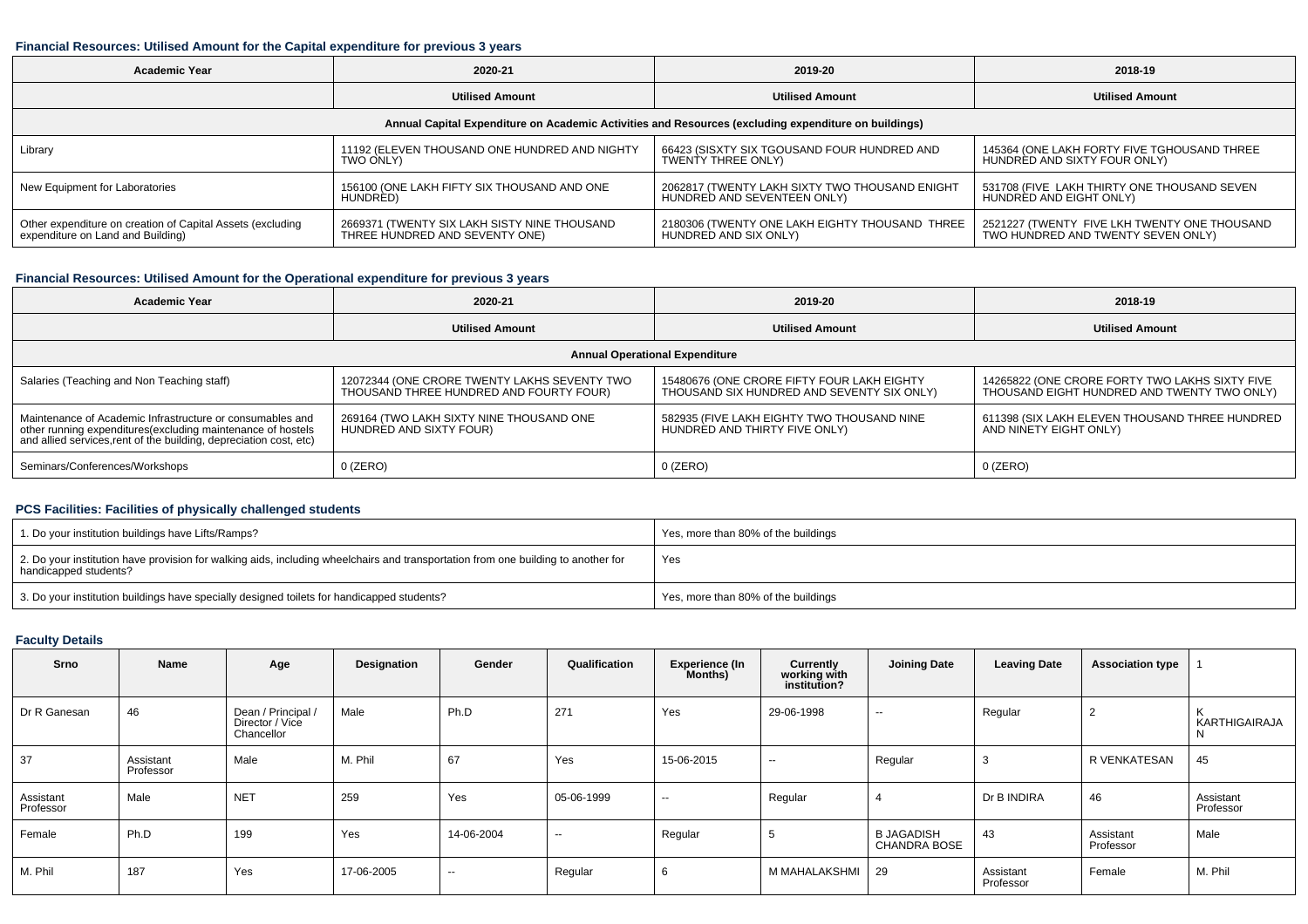#### **Financial Resources: Utilised Amount for the Capital expenditure for previous 3 years**

| <b>Academic Year</b>                                                                                 | 2020-21                                       | 2019-20                                        | 2018-19                                      |  |  |  |  |  |  |  |  |  |
|------------------------------------------------------------------------------------------------------|-----------------------------------------------|------------------------------------------------|----------------------------------------------|--|--|--|--|--|--|--|--|--|
|                                                                                                      | <b>Utilised Amount</b>                        | <b>Utilised Amount</b>                         | <b>Utilised Amount</b>                       |  |  |  |  |  |  |  |  |  |
| Annual Capital Expenditure on Academic Activities and Resources (excluding expenditure on buildings) |                                               |                                                |                                              |  |  |  |  |  |  |  |  |  |
| Library                                                                                              | 11192 (ELEVEN THOUSAND ONE HUNDRED AND NIGHTY | 66423 (SISXTY SIX TGOUSAND FOUR HUNDRED AND    | 145364 (ONE LAKH FORTY FIVE TGHOUSAND THREE  |  |  |  |  |  |  |  |  |  |
|                                                                                                      | TWO ONLY)                                     | <b>TWENTY THREE ONLY)</b>                      | HUNDRED AND SIXTY FOUR ONLY)                 |  |  |  |  |  |  |  |  |  |
| New Equipment for Laboratories                                                                       | 156100 (ONE LAKH FIFTY SIX THOUSAND AND ONE   | 2062817 (TWENTY LAKH SIXTY TWO THOUSAND ENIGHT | 531708 (FIVE LAKH THIRTY ONE THOUSAND SEVEN  |  |  |  |  |  |  |  |  |  |
|                                                                                                      | HUNDRED)                                      | HUNDRED AND SEVENTEEN ONLY)                    | HUNDRED AND EIGHT ONLY)                      |  |  |  |  |  |  |  |  |  |
| Other expenditure on creation of Capital Assets (excluding                                           | 2669371 (TWENTY SIX LAKH SISTY NINE THOUSAND  | 2180306 (TWENTY ONE LAKH EIGHTY THOUSAND THREE | 2521227 (TWENTY FIVE LKH TWENTY ONE THOUSAND |  |  |  |  |  |  |  |  |  |
| expenditure on Land and Building)                                                                    | THREE HUNDRED AND SEVENTY ONE)                | HUNDRED AND SIX ONLY)                          | TWO HUNDRED AND TWENTY SEVEN ONLY)           |  |  |  |  |  |  |  |  |  |

# **Financial Resources: Utilised Amount for the Operational expenditure for previous 3 years**

| <b>Academic Year</b>                                                                                                                                                                            | 2020-21                                                                                 | 2019-20                                                                                  | 2018-19                                                                                       |  |  |  |  |  |  |  |  |  |
|-------------------------------------------------------------------------------------------------------------------------------------------------------------------------------------------------|-----------------------------------------------------------------------------------------|------------------------------------------------------------------------------------------|-----------------------------------------------------------------------------------------------|--|--|--|--|--|--|--|--|--|
|                                                                                                                                                                                                 | <b>Utilised Amount</b>                                                                  | <b>Utilised Amount</b>                                                                   | <b>Utilised Amount</b>                                                                        |  |  |  |  |  |  |  |  |  |
| <b>Annual Operational Expenditure</b>                                                                                                                                                           |                                                                                         |                                                                                          |                                                                                               |  |  |  |  |  |  |  |  |  |
| Salaries (Teaching and Non Teaching staff)                                                                                                                                                      | 12072344 (ONE CRORE TWENTY LAKHS SEVENTY TWO<br>THOUSAND THREE HUNDRED AND FOURTY FOUR) | 15480676 (ONE CRORE FIFTY FOUR LAKH EIGHTY<br>THOUSAND SIX HUNDRED AND SEVENTY SIX ONLY) | 14265822 (ONE CRORE FORTY TWO LAKHS SIXTY FIVE<br>THOUSAND EIGHT HUNDRED AND TWENTY TWO ONLY) |  |  |  |  |  |  |  |  |  |
| Maintenance of Academic Infrastructure or consumables and<br>other running expenditures (excluding maintenance of hostels<br>and allied services, rent of the building, depreciation cost, etc) | 269164 (TWO LAKH SIXTY NINE THOUSAND ONE<br>HUNDRED AND SIXTY FOUR)                     | 582935 (FIVE LAKH EIGHTY TWO THOUSAND NINE<br>HUNDRED AND THIRTY FIVE ONLY)              | 611398 (SIX LAKH ELEVEN THOUSAND THREE HUNDRED<br>AND NINETY EIGHT ONLY)                      |  |  |  |  |  |  |  |  |  |
| Seminars/Conferences/Workshops                                                                                                                                                                  | $0$ (ZERO)                                                                              | $0$ (ZERO)                                                                               | $0$ (ZERO)                                                                                    |  |  |  |  |  |  |  |  |  |

### **PCS Facilities: Facilities of physically challenged students**

| 1. Do your institution buildings have Lifts/Ramps?                                                                                                         | Yes, more than 80% of the buildings |
|------------------------------------------------------------------------------------------------------------------------------------------------------------|-------------------------------------|
| 2. Do your institution have provision for walking aids, including wheelchairs and transportation from one building to another for<br>handicapped students? | Yes                                 |
| 3. Do your institution buildings have specially designed toilets for handicapped students?                                                                 | Yes, more than 80% of the buildings |

### **Faculty Details**

| Srno                   | Name                   | Age                                                 | Designation | Gender     | Qualification | <b>Experience (In</b><br>Months) | Currently<br>working with<br>institution? | <b>Joining Date</b>                      | <b>Leaving Date</b>    | <b>Association type</b> |                        |
|------------------------|------------------------|-----------------------------------------------------|-------------|------------|---------------|----------------------------------|-------------------------------------------|------------------------------------------|------------------------|-------------------------|------------------------|
| Dr R Ganesan           | 46                     | Dean / Principal /<br>Director / Vice<br>Chancellor | Male        | Ph.D       | 271           | Yes                              | 29-06-1998                                | $\sim$                                   | Regular                |                         | KARTHIGAIRAJA          |
| 37                     | Assistant<br>Professor | Male                                                | M. Phil     | 67         | Yes           | 15-06-2015                       | $\sim$                                    | Regular                                  |                        | R VENKATESAN            | 45                     |
| Assistant<br>Professor | Male                   | <b>NET</b>                                          | 259         | Yes        | 05-06-1999    | $\sim$                           | Regular                                   |                                          | Dr B INDIRA            | 46                      | Assistant<br>Professor |
| Female                 | Ph.D                   | 199                                                 | Yes         | 14-06-2004 | $\sim$        | Regular                          | <b>.</b>                                  | <b>B JAGADISH</b><br><b>CHANDRA BOSE</b> | 43                     | Assistant<br>Professor  | Male                   |
| M. Phil                | 187                    | Yes                                                 | 17-06-2005  | $\sim$     | Regular       | 6                                | M MAHALAKSHMI                             | 29                                       | Assistant<br>Professor | Female                  | M. Phil                |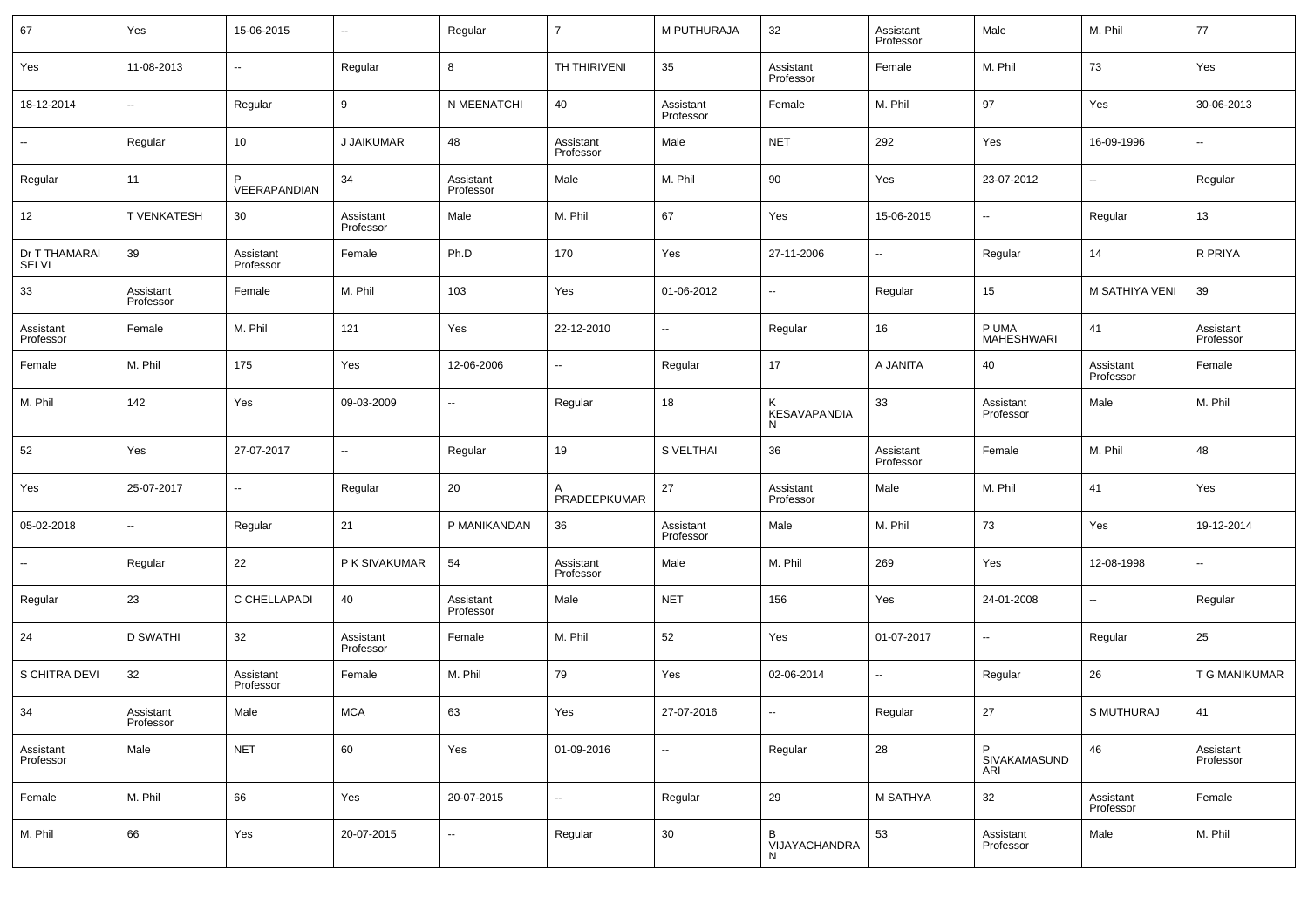| 67                     | Yes                    | 15-06-2015             | $\overline{\phantom{a}}$ | Regular                | $\overline{7}$           | M PUTHURAJA            | 32                       | Assistant<br>Professor | Male                     | M. Phil                | 77                     |
|------------------------|------------------------|------------------------|--------------------------|------------------------|--------------------------|------------------------|--------------------------|------------------------|--------------------------|------------------------|------------------------|
| Yes                    | 11-08-2013             | $\sim$                 | Regular                  | 8                      | TH THIRIVENI             | 35                     | Assistant<br>Professor   | Female                 | M. Phil                  | 73                     | Yes                    |
| 18-12-2014             | ٠.                     | Regular                | 9                        | N MEENATCHI            | 40                       | Assistant<br>Professor | Female                   | M. Phil                | 97                       | Yes                    | 30-06-2013             |
|                        | Regular                | 10 <sup>1</sup>        | J JAIKUMAR               | 48                     | Assistant<br>Professor   | Male                   | <b>NET</b>               | 292                    | Yes                      | 16-09-1996             | ⊷.                     |
| Regular                | 11                     | VEERAPANDIAN           | 34                       | Assistant<br>Professor | Male                     | M. Phil                | 90                       | Yes                    | 23-07-2012               | $\sim$                 | Regular                |
| 12                     | T VENKATESH            | 30                     | Assistant<br>Professor   | Male                   | M. Phil                  | 67                     | Yes                      | 15-06-2015             | $\sim$                   | Regular                | 13                     |
| Dr T THAMARAI<br>SELVI | 39                     | Assistant<br>Professor | Female                   | Ph.D                   | 170                      | Yes                    | 27-11-2006               | --                     | Regular                  | 14                     | R PRIYA                |
| 33                     | Assistant<br>Professor | Female                 | M. Phil                  | 103                    | Yes                      | 01-06-2012             | н.                       | Regular                | 15                       | M SATHIYA VENI         | 39                     |
| Assistant<br>Professor | Female                 | M. Phil                | 121                      | Yes                    | 22-12-2010               | $\sim$                 | Regular                  | 16                     | P UMA<br>MAHESHWARI      | 41                     | Assistant<br>Professor |
| Female                 | M. Phil                | 175                    | Yes                      | 12-06-2006             | $\overline{\phantom{a}}$ | Regular                | 17                       | A JANITA               | 40                       | Assistant<br>Professor | Female                 |
| M. Phil                | 142                    | Yes                    | 09-03-2009               | $\sim$                 | Regular                  | 18                     | <b>KESAVAPANDIA</b><br>N | 33                     | Assistant<br>Professor   | Male                   | M. Phil                |
| 52                     | Yes                    | 27-07-2017             | $\sim$                   | Regular                | 19                       | S VELTHAI              | 36                       | Assistant<br>Professor | Female                   | M. Phil                | 48                     |
| Yes                    | 25-07-2017             | $\sim$                 | Regular                  | 20                     | PRADEEPKUMAR             | 27                     | Assistant<br>Professor   | Male                   | M. Phil                  | 41                     | Yes                    |
| 05-02-2018             | $\sim$                 | Regular                | 21                       | P MANIKANDAN           | 36                       | Assistant<br>Professor | Male                     | M. Phil                | 73                       | Yes                    | 19-12-2014             |
| ⊷.                     | Regular                | 22                     | P K SIVAKUMAR            | 54                     | Assistant<br>Professor   | Male                   | M. Phil                  | 269                    | Yes                      | 12-08-1998             | $\sim$                 |
| Regular                | 23                     | C CHELLAPADI           | 40                       | Assistant<br>Professor | Male                     | <b>NET</b>             | 156                      | Yes                    | 24-01-2008               | $\sim$                 | Regular                |
| 24                     | <b>D SWATHI</b>        | 32                     | Assistant<br>Professor   | Female                 | M. Phil                  | 52                     | Yes                      | 01-07-2017             | $\sim$                   | Regular                | 25                     |
| S CHITRA DEVI          | 32                     | Assistant<br>Professor | Female                   | M. Phil                | 79                       | Yes                    | 02-06-2014               | $\sim$                 | Regular                  | 26                     | T G MANIKUMAR          |
| 34                     | Assistant<br>Professor | Male                   | <b>MCA</b>               | 63                     | Yes                      | 27-07-2016             | ٠.                       | Regular                | 27                       | S MUTHURAJ             | 41                     |
| Assistant<br>Professor | Male                   | <b>NET</b>             | 60                       | Yes                    | 01-09-2016               | $\sim$                 | Regular                  | 28                     | P<br>SIVAKAMASUND<br>ARI | 46                     | Assistant<br>Professor |
| Female                 | M. Phil                | 66                     | Yes                      | 20-07-2015             | $\overline{\phantom{a}}$ | Regular                | 29                       | M SATHYA               | 32                       | Assistant<br>Professor | Female                 |
| M. Phil                | 66                     | Yes                    | 20-07-2015               | $\ddotsc$              | Regular                  | $30\,$                 | B<br>VIJAYACHANDRA<br>N  | 53                     | Assistant<br>Professor   | Male                   | M. Phil                |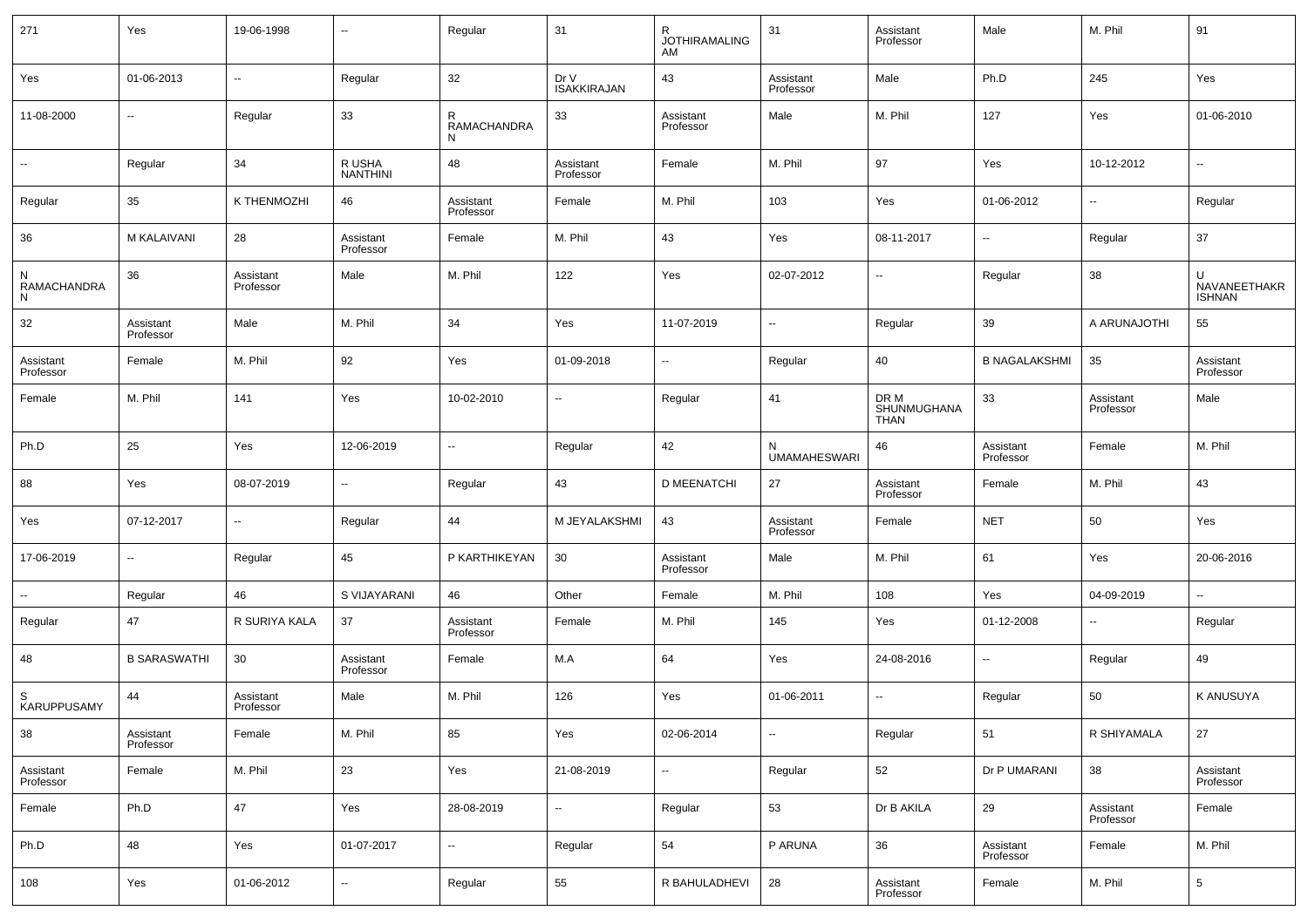| 271                    | Yes                      | 19-06-1998             | $\overline{\phantom{a}}$  | Regular                  | 31                         | R<br><b>JOTHIRAMALING</b><br>AM | 31                       | Assistant<br>Professor             | Male                   | M. Phil                  | 91                          |
|------------------------|--------------------------|------------------------|---------------------------|--------------------------|----------------------------|---------------------------------|--------------------------|------------------------------------|------------------------|--------------------------|-----------------------------|
| Yes                    | 01-06-2013               | $\sim$                 | Regular                   | 32                       | Dr V<br><b>ISAKKIRAJAN</b> | 43                              | Assistant<br>Professor   | Male                               | Ph.D                   | 245                      | Yes                         |
| 11-08-2000             | $\sim$                   | Regular                | 33                        | R<br>RAMACHANDRA<br>N    | 33                         | Assistant<br>Professor          | Male                     | M. Phil                            | 127                    | Yes                      | 01-06-2010                  |
| $\sim$                 | Regular                  | 34                     | R USHA<br><b>NANTHINI</b> | 48                       | Assistant<br>Professor     | Female                          | M. Phil                  | 97                                 | Yes                    | 10-12-2012               | $\overline{\phantom{a}}$    |
| Regular                | 35                       | K THENMOZHI            | 46                        | Assistant<br>Professor   | Female                     | M. Phil                         | 103                      | Yes                                | 01-06-2012             | $\overline{\phantom{a}}$ | Regular                     |
| 36                     | M KALAIVANI              | 28                     | Assistant<br>Professor    | Female                   | M. Phil                    | 43                              | Yes                      | 08-11-2017                         | ۰.                     | Regular                  | 37                          |
| RAMACHANDRA<br>N       | 36                       | Assistant<br>Professor | Male                      | M. Phil                  | 122                        | Yes                             | 02-07-2012               | $\overline{\phantom{a}}$           | Regular                | 38                       | U<br>NAVANEETHAKR<br>ISHNAN |
| 32                     | Assistant<br>Professor   | Male                   | M. Phil                   | 34                       | Yes                        | 11-07-2019                      | $\sim$                   | Regular                            | 39                     | A ARUNAJOTHI             | 55                          |
| Assistant<br>Professor | Female                   | M. Phil                | 92                        | Yes                      | 01-09-2018                 | $\sim$                          | Regular                  | 40                                 | <b>B NAGALAKSHMI</b>   | 35                       | Assistant<br>Professor      |
| Female                 | M. Phil                  | 141                    | Yes                       | 10-02-2010               | --                         | Regular                         | 41                       | DR M<br>SHUNMUGHANA<br><b>THAN</b> | 33                     | Assistant<br>Professor   | Male                        |
| Ph.D                   | 25                       | Yes                    | 12-06-2019                | $\overline{\phantom{a}}$ | Regular                    | 42                              | N<br><b>UMAMAHESWARI</b> | 46                                 | Assistant<br>Professor | Female                   | M. Phil                     |
| 88                     | Yes                      | 08-07-2019             | ۰.                        | Regular                  | 43                         | <b>D MEENATCHI</b>              | 27                       | Assistant<br>Professor             | Female                 | M. Phil                  | 43                          |
| Yes                    | 07-12-2017               | $\sim$                 | Regular                   | 44                       | M JEYALAKSHMI              | 43                              | Assistant<br>Professor   | Female                             | <b>NET</b>             | 50                       | Yes                         |
| 17-06-2019             | $\overline{\phantom{a}}$ | Regular                | 45                        | P KARTHIKEYAN            | 30                         | Assistant<br>Professor          | Male                     | M. Phil                            | 61                     | Yes                      | 20-06-2016                  |
| $\sim$                 | Regular                  | 46                     | S VIJAYARANI              | 46                       | Other                      | Female                          | M. Phil                  | 108                                | Yes                    | 04-09-2019               | $\sim$                      |
| Regular                | 47                       | R SURIYA KALA          | 37                        | Assistant<br>Professor   | Female                     | M. Phil                         | 145                      | Yes                                | 01-12-2008             | $\overline{\phantom{a}}$ | Regular                     |
| 48                     | <b>B SARASWATHI</b>      | 30                     | Assistant<br>Professor    | Female                   | M.A                        | 64                              | Yes                      | 24-08-2016                         | $\sim$                 | Regular                  | 49                          |
| S<br>KARUPPUSAMY       | 44                       | Assistant<br>Professor | Male                      | M. Phil                  | 126                        | Yes                             | 01-06-2011               | $\sim$                             | Regular                | 50                       | <b>K ANUSUYA</b>            |
| 38                     | Assistant<br>Professor   | Female                 | M. Phil                   | 85                       | Yes                        | 02-06-2014                      | $\overline{\phantom{a}}$ | Regular                            | 51                     | R SHIYAMALA              | 27                          |
| Assistant<br>Professor | Female                   | M. Phil                | 23                        | Yes                      | 21-08-2019                 | $\sim$                          | Regular                  | 52                                 | Dr P UMARANI           | 38                       | Assistant<br>Professor      |
| Female                 | Ph.D                     | 47                     | Yes                       | 28-08-2019               | --                         | Regular                         | 53                       | Dr B AKILA                         | 29                     | Assistant<br>Professor   | Female                      |
| Ph.D                   | 48                       | Yes                    | 01-07-2017                | $\overline{\phantom{a}}$ | Regular                    | 54                              | P ARUNA                  | 36                                 | Assistant<br>Professor | Female                   | M. Phil                     |
| 108                    | Yes                      | 01-06-2012             | $\overline{\phantom{a}}$  | Regular                  | 55                         | R BAHULADHEVI                   | 28                       | Assistant<br>Professor             | Female                 | M. Phil                  | 5                           |